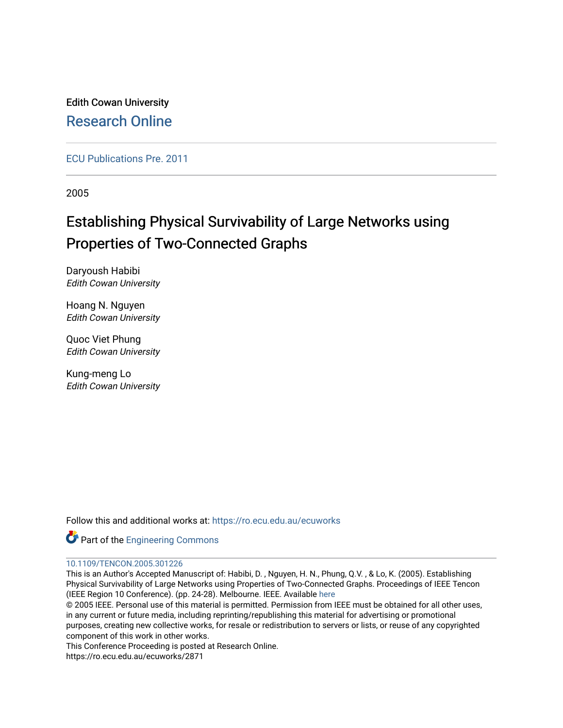Edith Cowan University [Research Online](https://ro.ecu.edu.au/) 

[ECU Publications Pre. 2011](https://ro.ecu.edu.au/ecuworks)

2005

# Establishing Physical Survivability of Large Networks using Properties of Two-Connected Graphs

Daryoush Habibi Edith Cowan University

Hoang N. Nguyen Edith Cowan University

Quoc Viet Phung Edith Cowan University

Kung-meng Lo Edith Cowan University

Follow this and additional works at: [https://ro.ecu.edu.au/ecuworks](https://ro.ecu.edu.au/ecuworks?utm_source=ro.ecu.edu.au%2Fecuworks%2F2871&utm_medium=PDF&utm_campaign=PDFCoverPages) 

Part of the [Engineering Commons](http://network.bepress.com/hgg/discipline/217?utm_source=ro.ecu.edu.au%2Fecuworks%2F2871&utm_medium=PDF&utm_campaign=PDFCoverPages)

# [10.1109/TENCON.2005.301226](http://dx.doi.org/10.1109/TENCON.2005.301226)

This is an Author's Accepted Manuscript of: Habibi, D. , Nguyen, H. N., Phung, Q.V. , & Lo, K. (2005). Establishing Physical Survivability of Large Networks using Properties of Two-Connected Graphs. Proceedings of IEEE Tencon (IEEE Region 10 Conference). (pp. 24-28). Melbourne. IEEE. Available [here](http://dx.doi.org/10.1109/TENCON.2005.301226) 

© 2005 IEEE. Personal use of this material is permitted. Permission from IEEE must be obtained for all other uses, in any current or future media, including reprinting/republishing this material for advertising or promotional purposes, creating new collective works, for resale or redistribution to servers or lists, or reuse of any copyrighted component of this work in other works.

This Conference Proceeding is posted at Research Online.

https://ro.ecu.edu.au/ecuworks/2871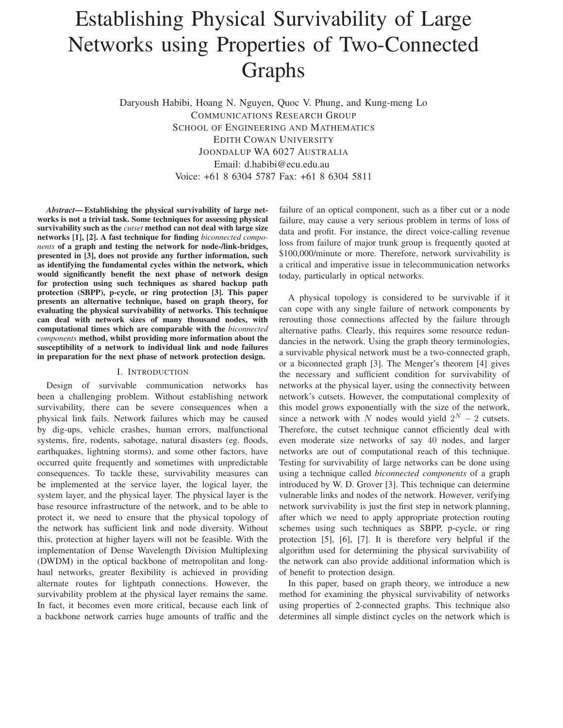# Establishing Physical Survivability of Large Networks using Properties of Two-Connected Graphs

Daryoush Habibi, Hoang N. Nguyen, Quoc V. Phung, and Kung-meng Lo COMMUNICATIONS RESEARCH GROUP SCHOOL OF ENGINEERING AND MATHEMATICS EDITH COWAN UNIVERSITY JOONDALUP WA 6027 AUSTRALIA Email: d.habibi@ecu.edu.au Voice: +61 8 6304 5787 Fax: +61 8 6304 5811

*Abstract***— Establishing the physical survivability of large networks is not a trivial task. Some techniques for assessing physical survivability such as the** *cutset* **method can not deal with large size networks [1], [2]. A fast technique for finding** *biconnected components* **of a graph and testing the network for node-/link-bridges, presented in [3], does not provide any further information, such as identifying the fundamental cycles within the network, which would significantly benefit the next phase of network design for protection using such techniques as shared backup path protection (SBPP), p-cycle, or ring protection [3]. This paper presents an alternative technique, based on graph theory, for evaluating the physical survivability of networks. This technique can deal with network sizes of many thousand nodes, with computational times which are comparable with the** *biconnected components* **method, whilst providing more information about the susceptibility of a network to individual link and node failures in preparation for the next phase of network protection design.**

#### I. INTRODUCTION

Design of survivable communication networks has been a challenging problem. Without establishing network survivability, there can be severe consequences when a physical link fails. Network failures which may be caused by dig-ups, vehicle crashes, human errors, malfunctional systems, fire, rodents, sabotage, natural disasters (eg. floods, earthquakes, lightning storms), and some other factors, have occurred quite frequently and sometimes with unpredictable consequences. To tackle these, survivability measures can be implemented at the service layer, the logical layer, the system layer, and the physical layer. The physical layer is the base resource infrastructure of the network, and to be able to protect it, we need to ensure that the physical topology of the network has sufficient link and node diversity. Without this, protection at higher layers will not be feasible. With the implementation of Dense Wavelength Division Multiplexing (DWDM) in the optical backbone of metropolitan and longhaul networks, greater flexibility is achieved in providing alternate routes for lightpath connections. However, the survivability problem at the physical layer remains the same. In fact, it becomes even more critical, because each link of a backbone network carries huge amounts of traffic and the

failure of an optical component, such as a fiber cut or a node failure, may cause a very serious problem in terms of loss of data and profit. For instance, the direct voice-calling revenue loss from failure of major trunk group is frequently quoted at \$100,000/minute or more. Therefore, network survivability is a critical and imperative issue in telecommunication networks today, particularly in optical networks.

A physical topology is considered to be survivable if it can cope with any single failure of network components by rerouting those connections affected by the failure through alternative paths. Clearly, this requires some resource redundancies in the network. Using the graph theory terminologies, a survivable physical network must be a two-connected graph, or a biconnected graph [3]. The Menger's theorem [4] gives the necessary and sufficient condition for survivability of networks at the physical layer, using the connectivity between network's cutsets. However, the computational complexity of this model grows exponentially with the size of the network, since a network with *N* nodes would yield  $2^N - 2$  cutsets. Therefore, the cutset technique cannot efficiently deal with even moderate size networks of say 40 nodes, and larger networks are out of computational reach of this technique. Testing for survivability of large networks can be done using using a technique called *biconnected components* of a graph introduced by W. D. Grover [3]. This technique can determine vulnerable links and nodes of the network. However, verifying network survivability is just the first step in network planning, after which we need to apply appropriate protection routing schemes using such techniques as SBPP, p-cycle, or ring protection [5], [6], [7]. It is therefore very helpful if the algorithm used for determining the physical survivability of the network can also provide additional information which is of benefit to protection design.

In this paper, based on graph theory, we introduce a new method for examining the physical survivability of networks using properties of 2-connected graphs. This technique also determines all simple distinct cycles on the network which is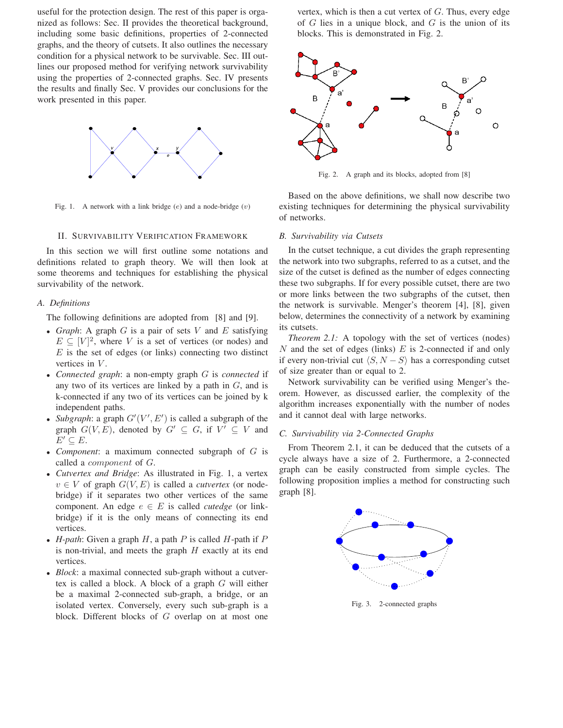useful for the protection design. The rest of this paper is organized as follows: Sec. II provides the theoretical background, including some basic definitions, properties of 2-connected graphs, and the theory of cutsets. It also outlines the necessary condition for a physical network to be survivable. Sec. III outlines our proposed method for verifying network survivability using the properties of 2-connected graphs. Sec. IV presents the results and finally Sec. V provides our conclusions for the work presented in this paper.



Fig. 1. A network with a link bridge (*e*) and a node-bridge (*v*)

#### II. SURVIVABILITY VERIFICATION FRAMEWORK

In this section we will first outline some notations and definitions related to graph theory. We will then look at some theorems and techniques for establishing the physical survivability of the network.

### *A. Definitions*

The following definitions are adopted from [8] and [9].

- *Graph*: A graph *G* is a pair of sets *V* and *E* satisfying  $E \subseteq [V]^2$ , where *V* is a set of vertices (or nodes) and *E* is the set of edges (or links) connecting two distinct vertices in *V* .
- *Connected graph*: a non-empty graph *G* is *connected* if any two of its vertices are linked by a path in *G*, and is k-connected if any two of its vertices can be joined by k independent paths.
- *Subgraph*: a graph  $G'(V', E')$  is called a subgraph of the graph  $G(V, E)$ , denoted by  $G' \subseteq G$ , if  $V' \subseteq V$  and  $E' \subseteq E$ .
- *Component*: a maximum connected subgraph of *G* is called a *component* of *G*.
- *Cutvertex and Bridge*: As illustrated in Fig. 1, a vertex  $v \in V$  of graph  $G(V, E)$  is called a *cutvertex* (or nodebridge) if it separates two other vertices of the same component. An edge  $e \in E$  is called *cutedge* (or linkbridge) if it is the only means of connecting its end vertices.
- *H-path*: Given a graph *H*, a path *P* is called *H*-path if *P* is non-trivial, and meets the graph *H* exactly at its end vertices.
- *Block*: a maximal connected sub-graph without a cutvertex is called a block. A block of a graph *G* will either be a maximal 2-connected sub-graph, a bridge, or an isolated vertex. Conversely, every such sub-graph is a block. Different blocks of *G* overlap on at most one

vertex, which is then a cut vertex of *G*. Thus, every edge of *G* lies in a unique block, and *G* is the union of its blocks. This is demonstrated in Fig. 2.



Fig. 2. A graph and its blocks, adopted from [8]

Based on the above definitions, we shall now describe two existing techniques for determining the physical survivability of networks.

#### *B. Survivability via Cutsets*

In the cutset technique, a cut divides the graph representing the network into two subgraphs, referred to as a cutset, and the size of the cutset is defined as the number of edges connecting these two subgraphs. If for every possible cutset, there are two or more links between the two subgraphs of the cutset, then the network is survivable. Menger's theorem [4], [8], given below, determines the connectivity of a network by examining its cutsets.

*Theorem 2.1:* A topology with the set of vertices (nodes) *N* and the set of edges (links) *E* is 2-connected if and only if every non-trivial cut  $\langle S, N - S \rangle$  has a corresponding cutset of size greater than or equal to 2.

Network survivability can be verified using Menger's theorem. However, as discussed earlier, the complexity of the algorithm increases exponentially with the number of nodes and it cannot deal with large networks.

#### *C. Survivability via 2-Connected Graphs*

From Theorem 2.1, it can be deduced that the cutsets of a cycle always have a size of 2. Furthermore, a 2-connected graph can be easily constructed from simple cycles. The following proposition implies a method for constructing such graph [8].



Fig. 3. 2-connected graphs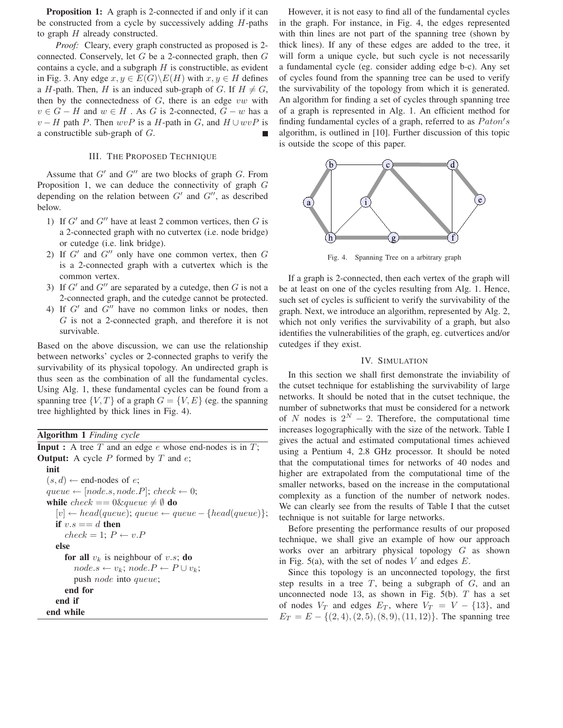**Proposition 1:** A graph is 2-connected if and only if it can be constructed from a cycle by successively adding *H*-paths to graph *H* already constructed.

*Proof:* Cleary, every graph constructed as proposed is 2 connected. Conservely, let *G* be a 2-connected graph, then *G* contains a cycle, and a subgraph *H* is constructible, as evident in Fig. 3. Any edge  $x, y \in E(G) \backslash E(H)$  with  $x, y \in H$  defines a *H*-path. Then, *H* is an induced sub-graph of *G*. If  $H \neq G$ , then by the connectedness of *G*, there is an edge *vw* with  $v \in G - H$  and  $w \in H$ . As *G* is 2-connected,  $G - w$  has a  $v - H$  path *P*. Then  $wvP$  is a *H*-path in *G*, and  $H \cup wvP$  is a constructible sub-graph of *G*.

# III. THE PROPOSED TECHNIQUE

Assume that  $G'$  and  $G''$  are two blocks of graph  $G$ . From Proposition 1, we can deduce the connectivity of graph *G* depending on the relation between  $G'$  and  $G''$ , as described below.

- 1) If  $G'$  and  $G''$  have at least 2 common vertices, then  $G$  is a 2-connected graph with no cutvertex (i.e. node bridge) or cutedge (i.e. link bridge).
- 2) If  $G'$  and  $G''$  only have one common vertex, then  $G$ is a 2-connected graph with a cutvertex which is the common vertex.
- 3) If  $G'$  and  $G''$  are separated by a cutedge, then  $G$  is not a 2-connected graph, and the cutedge cannot be protected.
- 4) If  $G'$  and  $G''$  have no common links or nodes, then *G* is not a 2-connected graph, and therefore it is not survivable.

Based on the above discussion, we can use the relationship between networks' cycles or 2-connected graphs to verify the survivability of its physical topology. An undirected graph is thus seen as the combination of all the fundamental cycles. Using Alg. 1, these fundamental cycles can be found from a spanning tree  $\{V, T\}$  of a graph  $G = \{V, E\}$  (eg. the spanning tree highlighted by thick lines in Fig. 4).

**Algorithm 1** *Finding cycle*

**Input :** A tree *T* and an edge *e* whose end-nodes is in *T*; **Output:** A cycle *P* formed by *T* and *e*; **init**  $(s, d) \leftarrow$  end-nodes of *e*;  $queue \leftarrow [node.s, node.P]; check \leftarrow 0;$ **while**  $check == 0 \& queue \neq \emptyset$  **do**  $[v] \leftarrow head(queue); queue \leftarrow queue - \{head(queue)\};$ **if**  $v.s == d$  **then**  $check = 1; P \leftarrow v.P$ **else for all**  $v_k$  is neighbour of *v.s*; **do**  $node.s \leftarrow v_k; node.P \leftarrow P \cup v_k;$ push *node* into *queue*; **end for end if end while**

However, it is not easy to find all of the fundamental cycles in the graph. For instance, in Fig. 4, the edges represented with thin lines are not part of the spanning tree (shown by thick lines). If any of these edges are added to the tree, it will form a unique cycle, but such cycle is not necessarily a fundamental cycle (eg. consider adding edge b-c). Any set of cycles found from the spanning tree can be used to verify the survivability of the topology from which it is generated. An algorithm for finding a set of cycles through spanning tree of a graph is represented in Alg. 1. An efficient method for finding fundamental cycles of a graph, referred to as *P aton s* algorithm, is outlined in [10]. Further discussion of this topic is outside the scope of this paper.



Fig. 4. Spanning Tree on a arbitrary graph

If a graph is 2-connected, then each vertex of the graph will be at least on one of the cycles resulting from Alg. 1. Hence, such set of cycles is sufficient to verify the survivability of the graph. Next, we introduce an algorithm, represented by Alg. 2, which not only verifies the survivability of a graph, but also identifies the vulnerabilities of the graph, eg. cutvertices and/or cutedges if they exist.

#### IV. SIMULATION

In this section we shall first demonstrate the inviability of the cutset technique for establishing the survivability of large networks. It should be noted that in the cutset technique, the number of subnetworks that must be considered for a network of *N* nodes is  $2^N - 2$ . Therefore, the computational time increases logographically with the size of the network. Table I gives the actual and estimated computational times achieved using a Pentium 4, 2.8 GHz processor. It should be noted that the computational times for networks of 40 nodes and higher are extrapolated from the computational time of the smaller networks, based on the increase in the computational complexity as a function of the number of network nodes. We can clearly see from the results of Table I that the cutset technique is not suitable for large networks.

Before presenting the performance results of our proposed technique, we shall give an example of how our approach works over an arbitrary physical topology *G* as shown in Fig. 5(a), with the set of nodes *V* and edges *E*.

Since this topology is an unconnected topology, the first step results in a tree *T*, being a subgraph of *G*, and an unconnected node 13, as shown in Fig. 5(b). *T* has a set of nodes  $V_T$  and edges  $E_T$ , where  $V_T = V - \{13\}$ , and  $E_T = E - \{(2, 4), (2, 5), (8, 9), (11, 12)\}.$  The spanning tree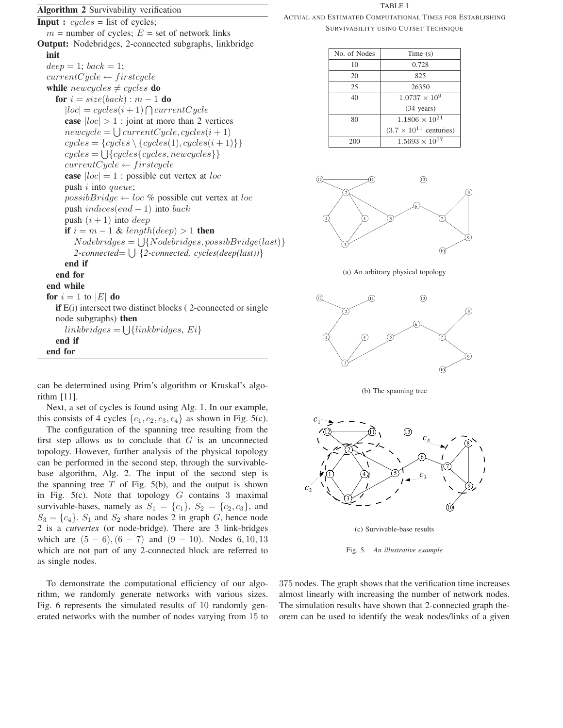# **Algorithm 2** Survivability verification

**Input :** *cycles* = list of cycles;  $m =$  number of cycles;  $E =$  set of network links **Output:** Nodebridges, 2-connected subgraphs, linkbridge **init**  $deep = 1; back = 1;$  $currentCycle \leftarrow firstcycle$ **while**  $newcycles \neq cycles$  **do for**  $i = size(back) : m - 1$  **do**  $|loc| = cycles(i + 1) \cap currentCycle$ **case**  $|loc| > 1$ : joint at more than 2 vertices  $newcycle = \bigcup currentCycle, cycles(i + 1)$  $cycles = \{cycles \setminus \{cycles(1), cycles(i+1)\}\}$  $cycles = \bigcup \{cycles\{cycles, newcycles\}\}\$  $currentCycle \leftarrow firstcycle$ **case** |*loc*| = 1 : possible cut vertex at *loc* push *i* into *queue*;  $possibBridge \leftarrow loc \%$  possible cut vertex at *loc* push *indices*(*end* − 1) into *back* push  $(i + 1)$  into *deep* **if**  $i = m - 1$  & *length*(*deep*) > 1 **then**  $Node bridges = \bigcup \{Node bridges, possibleBridge(last)\}$ *2-connected*= - {*2-connected, cycles(deep(last))*} **end if end for end while for**  $i = 1$  to  $|E|$  **do if** E(i) intersect two distinct blocks (2-connected or single node subgraphs) **then**  $linkbridges = \bigcup \{linkbridges, Ei\}$ **end if end for**

can be determined using Prim's algorithm or Kruskal's algorithm [11].

Next, a set of cycles is found using Alg. 1. In our example, this consists of 4 cycles  $\{c_1, c_2, c_3, c_4\}$  as shown in Fig. 5(c).

The configuration of the spanning tree resulting from the first step allows us to conclude that *G* is an unconnected topology. However, further analysis of the physical topology can be performed in the second step, through the survivablebase algorithm, Alg. 2. The input of the second step is the spanning tree  $T$  of Fig. 5(b), and the output is shown in Fig. 5(c). Note that topology *G* contains 3 maximal survivable-bases, namely as  $S_1 = \{c_1\}$ ,  $S_2 = \{c_2, c_3\}$ , and  $S_3 = \{c_4\}$ .  $S_1$  and  $S_2$  share nodes 2 in graph *G*, hence node 2 is a *cutvertex* (or node-bridge). There are 3 link-bridges which are  $(5 - 6)$ ,  $(6 - 7)$  and  $(9 - 10)$ . Nodes 6, 10, 13 which are not part of any 2-connected block are referred to as single nodes.

To demonstrate the computational efficiency of our algorithm, we randomly generate networks with various sizes. Fig. 6 represents the simulated results of 10 randomly generated networks with the number of nodes varying from 15 to TABLE I

ACTUAL AND ESTIMATED COMPUTATIONAL TIMES FOR ESTABLISHING SURVIVABILITY USING CUTSET TECHNIQUE

| No. of Nodes | Time $(s)$                       |
|--------------|----------------------------------|
| 10           | 0.728                            |
| 20           | 825                              |
| 25           | 26350                            |
| 40           | $1.0737 \times 10^{9}$           |
|              | $(34 \text{ years})$             |
| 80           | $1.1806 \times 10^{21}$          |
|              | $(3.7 \times 10^{11}$ centuries) |
| 200          | $1.5693 \times 10^{57}$          |



(a) An arbitrary physical topology



(b) The spanning tree



(c) Survivable-base results

Fig. 5. *An illustrative example*

375 nodes. The graph shows that the verification time increases almost linearly with increasing the number of network nodes. The simulation results have shown that 2-connected graph theorem can be used to identify the weak nodes/links of a given